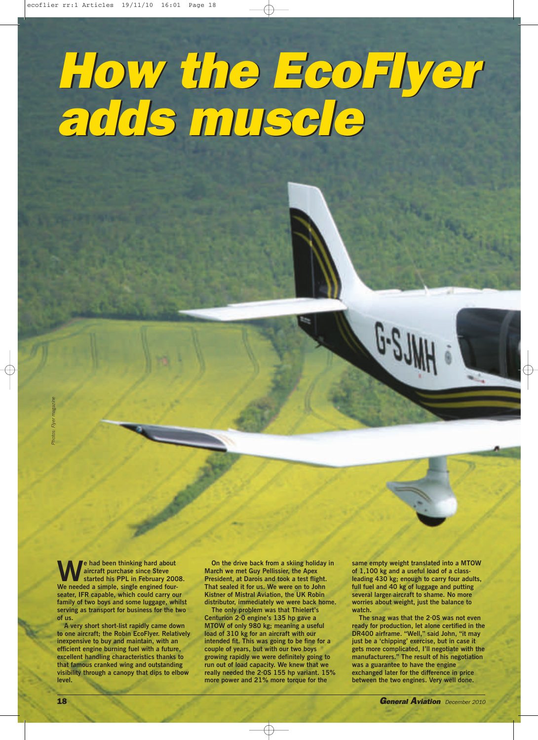## *How the EcoFlyer adds muscle How the EcoFlyer adds muscle*

**We had been thinking hard about started his PPL in February 2008. aircraft purchase since Steve We needed a simple, single engined fourseater, IFR capable, which could carry our family of two boys and some luggage, whilst serving as transport for business for the two of us.**

**A very short short-list rapidly came down to one aircraft; the Robin EcoFlyer. Relatively inexpensive to buy and maintain, with an efficient engine burning fuel with a future, excellent handling characteristics thanks to that famous cranked wing and outstanding visibility through a canopy that dips to elbow level.**

**On the drive back from a skiing holiday in March we met Guy Pellissier, the Apex President, at Darois and took a test flight. That sealed it for us. We were on to John Kistner of Mistral Aviation, the UK Robin distributor, immediately we were back home.**

**The only problem was that Thielert's Centurion 2·0 engine's 135 hp gave a MTOW of only 980 kg; meaning a useful load of 310 kg for an aircraft with our intended fit. This was going to be fine for a couple of years, but with our two boys growing rapidly we were definitely going to run out of load capacity. We knew that we really needed the 2·0S 155 hp variant. 15% more power and 21% more torque for the**

**same empty weight translated into a MTOW of 1,100 kg and a useful load of a classleading 430 kg; enough to carry four adults, full fuel and 40 kg of luggage and putting several larger aircraft to shame. No more worries about weight, just the balance to watch.**

**The snag was that the 2·0S was not even ready for production, let alone certified in the DR400 airframe. "Well," said John, "it may just be a 'chipping' exercise, but in case it gets more complicated, I'll negotiate with the manufacturers." The result of his negotiation was a guarantee to have the engine exchanged later for the difference in price between the two engines. Very well done.**

*Photos: Flyer magazine*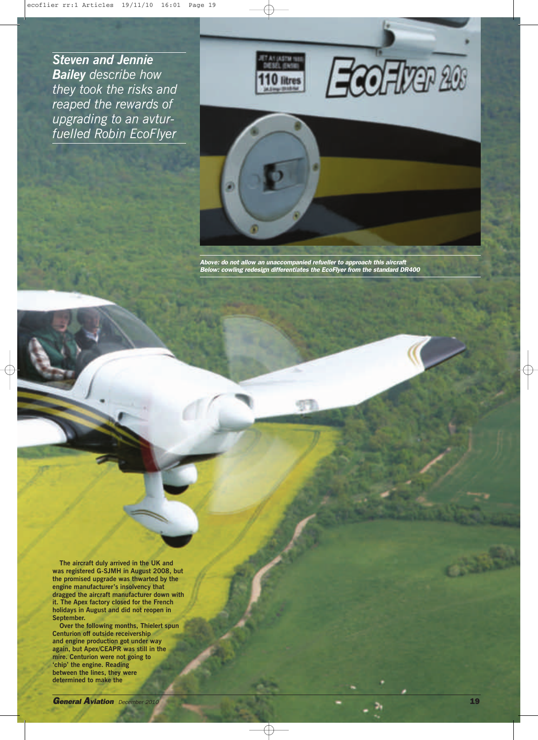*Steven and Jennie Bailey describe how they took the risks and reaped the rewards of upgrading to an avturfuelled Robin EcoFlyer*







*Above: do not allow an unaccompanied refueller to approach this aircraft Below: cowling redesign differentiates the EcoFlyer from the standard DR400*

**The aircraft duly arrived in the UK and was registered G-SJMH in August 2008, but the promised upgrade was thwarted by the engine manufacturer's insolvency that dragged the aircraft manufacturer down with it. The Apex factory closed for the French holidays in August and did not reopen in September.**

**Over the following months, Thielert spun Centurion off outside receivership and engine production got under way again, but Apex/CEAPR was still in the mire. Centurion were not going to 'chip' the engine. Reading between the lines, they were determined to make the**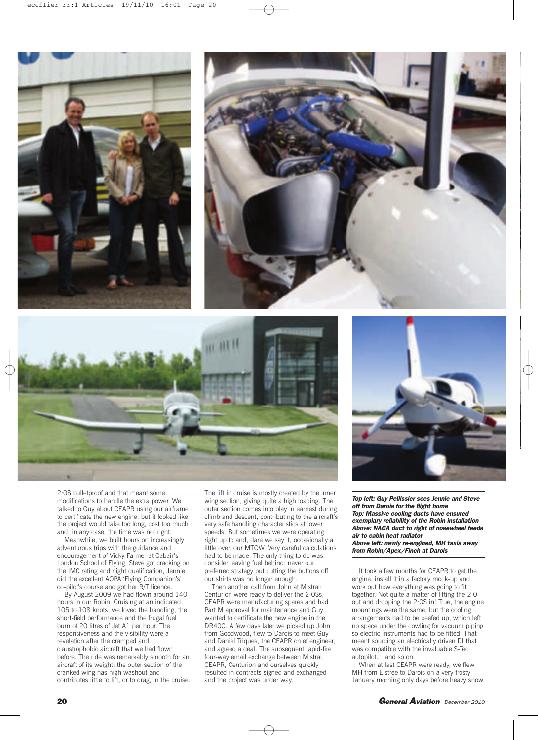





2·0S bulletproof and that meant some modifications to handle the extra power. We talked to Guy about CEAPR using our airframe to certificate the new engine, but it looked like the project would take too long, cost too much and, in any case, the time was not right.

Meanwhile, we built hours on increasingly adventurous trips with the guidance and encouragement of Vicky Farmer at Cabair's London School of Flying. Steve got cracking on the IMC rating and night qualification, Jennie did the excellent AOPA 'Flying Companion's' co-pilot's course and got her R/T licence.

By August 2009 we had flown around 140 hours in our Robin. Cruising at an indicated 105 to 108 knots, we loved the handling, the short-field performance and the frugal fuel burn of 20 litres of Jet A1 per hour. The responsiveness and the visibility were a revelation after the cramped and claustrophobic aircraft that we had flown before. The ride was remarkably smooth for an aircraft of its weight: the outer section of the cranked wing has high washout and contributes little to lift, or to drag, in the cruise.

The lift in cruise is mostly created by the inner wing section, giving quite a high loading. The outer section comes into play in earnest during climb and descent, contributing to the aircraft's very safe handling characteristics at lower speeds. But sometimes we were operating right up to and, dare we say it, occasionally a little over, our MTOW. Very careful calculations had to be made! The only thing to do was consider leaving fuel behind; never our preferred strategy but cutting the buttons off our shirts was no longer enough.

Then another call from John at Mistral: Centurion were ready to deliver the 2·0Ss, CEAPR were manufacturing spares and had Part M approval for maintenance and Guy wanted to certificate the new engine in the DR400. A few days later we picked up John from Goodwood, flew to Darois to meet Guy and Daniel Triques, the CEAPR chief engineer, and agreed a deal. The subsequent rapid-fire four-way email exchange between Mistral, CEAPR, Centurion and ourselves quickly resulted in contracts signed and exchanged and the project was under way.

*Top left: Guy Pellissier sees Jennie and Steve off from Darois for the flight home Top: Massive cooling ducts have ensured exemplary reliability of the Robin installation Above: NACA duct to right of nosewheel feeds air to cabin heat radiator Above left: newly re-engined, MH taxis away from Robin/Apex/Finch at Darois*

It took a few months for CEAPR to get the engine, install it in a factory mock-up and work out how everything was going to fit together. Not quite a matter of lifting the 2·0 out and dropping the 2·0S in! True, the engine mountings were the same, but the cooling arrangements had to be beefed up, which left no space under the cowling for vacuum piping so electric instruments had to be fitted. That meant sourcing an electrically driven DI that was compatible with the invaluable S-Tec autopilot… and so on.

When at last CEAPR were ready, we flew MH from Elstree to Darois on a very frosty January morning only days before heavy snow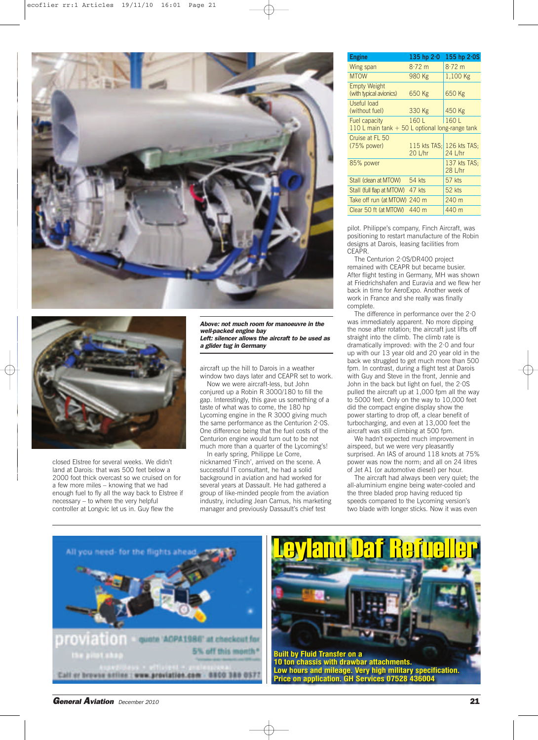



closed Elstree for several weeks. We didn't land at Darois: that was 500 feet below a 2000 foot thick overcast so we cruised on for a few more miles – knowing that we had enough fuel to fly all the way back to Elstree if necessary – to where the very helpful controller at Longvic let us in. Guy flew the

*Above: not much room for manoeuvre in the well-packed engine bay Left: silencer allows the aircraft to be used as a glider tug in Germany*

aircraft up the hill to Darois in a weather window two days later and CEAPR set to work.

Now we were aircraft-less, but John conjured up a Robin R 3000/180 to fill the gap. Interestingly, this gave us something of a taste of what was to come, the 180 hp Lycoming engine in the R 3000 giving much the same performance as the Centurion 2·0S. One difference being that the fuel costs of the Centurion engine would turn out to be not much more than a quarter of the Lycoming's!

In early spring, Philippe Le Corre, nicknamed 'Finch', arrived on the scene. A successful IT consultant, he had a solid background in aviation and had worked for several years at Dassault. He had gathered a group of like-minded people from the aviation industry, including Jean Camus, his marketing manager and previously Dassault's chief test

| <b>Engine</b>                                                            | 135 hp $2.0$            | 155 hp $2.0S$           |
|--------------------------------------------------------------------------|-------------------------|-------------------------|
| Wing span                                                                | $8.72 \text{ m}$        | $8.72 \text{ m}$        |
| <b>MTOW</b>                                                              | 980 Kg                  | 1,100 Kg                |
| <b>Empty Weight</b><br>(with typical avionics)                           | 650 Kg                  | 650 Kg                  |
| Useful load<br>(without fuel)                                            | 330 Kg                  | 450 Kg                  |
| <b>Fuel capacity</b><br>110 L main tank $+50$ L optional long-range tank | 160 L                   | 160L                    |
| Cruise at FL 50<br>$(75%$ power)                                         | 115 kts TAS:<br>20 L/hr | 126 kts TAS:<br>24 L/hr |
| 85% power                                                                |                         | 137 kts TAS:<br>28 L/hr |
| Stall (clean at MTOW)                                                    | $54$ kts                | 57 kts                  |
| Stall (full flap at MTOW)                                                | 47 kts                  | 52 kts                  |
| Take off run (at MTOW) 240 m                                             |                         | 240 m                   |
| Clear 50 ft (at MTOW)                                                    | 440 m                   | 440 m                   |

pilot. Philippe's company, Finch Aircraft, was positioning to restart manufacture of the Robin designs at Darois, leasing facilities from CEAPR.

The Centurion 2·0S/DR400 project remained with CEAPR but became busier. After flight testing in Germany, MH was shown at Friedrichshafen and Euravia and we flew her back in time for AeroExpo. Another week of work in France and she really was finally complete.

The difference in performance over the 2·0 was immediately apparent. No more dipping the nose after rotation; the aircraft just lifts off straight into the climb. The climb rate is dramatically improved: with the 2·0 and four up with our 13 year old and 20 year old in the back we struggled to get much more than 500 fpm. In contrast, during a flight test at Darois with Guy and Steve in the front, Jennie and John in the back but light on fuel, the 2·0S pulled the aircraft up at 1,000 fpm all the way to 5000 feet. Only on the way to 10,000 feet did the compact engine display show the power starting to drop off, a clear benefit of turbocharging, and even at 13,000 feet the aircraft was still climbing at 500 fpm.

We hadn't expected much improvement in airspeed, but we were very pleasantly surprised. An IAS of around 118 knots at 75% power was now the norm; and all on 24 litres of Jet A1 (or automotive diesel) per hour.

The aircraft had always been very quiet; the all-aluminium engine being water-cooled and the three bladed prop having reduced tip speeds compared to the Lycoming version's two blade with longer sticks. Now it was even





*General Aviation December <sup>2010</sup>* **21**